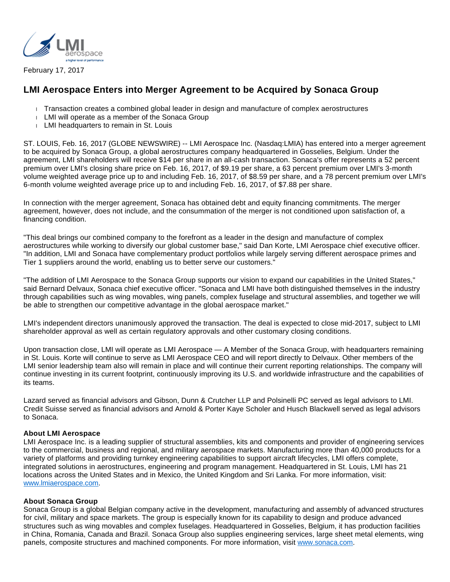

February 17, 2017

# **LMI Aerospace Enters into Merger Agreement to be Acquired by Sonaca Group**

- Transaction creates a combined global leader in design and manufacture of complex aerostructures
- LMI will operate as a member of the Sonaca Group
- LMI headquarters to remain in St. Louis

ST. LOUIS, Feb. 16, 2017 (GLOBE NEWSWIRE) -- LMI Aerospace Inc. (Nasdaq:LMIA) has entered into a merger agreement to be acquired by Sonaca Group, a global aerostructures company headquartered in Gosselies, Belgium. Under the agreement, LMI shareholders will receive \$14 per share in an all-cash transaction. Sonaca's offer represents a 52 percent premium over LMI's closing share price on Feb. 16, 2017, of \$9.19 per share, a 63 percent premium over LMI's 3-month volume weighted average price up to and including Feb. 16, 2017, of \$8.59 per share, and a 78 percent premium over LMI's 6-month volume weighted average price up to and including Feb. 16, 2017, of \$7.88 per share.

In connection with the merger agreement, Sonaca has obtained debt and equity financing commitments. The merger agreement, however, does not include, and the consummation of the merger is not conditioned upon satisfaction of, a financing condition.

"This deal brings our combined company to the forefront as a leader in the design and manufacture of complex aerostructures while working to diversify our global customer base," said Dan Korte, LMI Aerospace chief executive officer. "In addition, LMI and Sonaca have complementary product portfolios while largely serving different aerospace primes and Tier 1 suppliers around the world, enabling us to better serve our customers."

"The addition of LMI Aerospace to the Sonaca Group supports our vision to expand our capabilities in the United States," said Bernard Delvaux, Sonaca chief executive officer. "Sonaca and LMI have both distinguished themselves in the industry through capabilities such as wing movables, wing panels, complex fuselage and structural assemblies, and together we will be able to strengthen our competitive advantage in the global aerospace market."

LMI's independent directors unanimously approved the transaction. The deal is expected to close mid-2017, subject to LMI shareholder approval as well as certain regulatory approvals and other customary closing conditions.

Upon transaction close, LMI will operate as LMI Aerospace — A Member of the Sonaca Group, with headquarters remaining in St. Louis. Korte will continue to serve as LMI Aerospace CEO and will report directly to Delvaux. Other members of the LMI senior leadership team also will remain in place and will continue their current reporting relationships. The company will continue investing in its current footprint, continuously improving its U.S. and worldwide infrastructure and the capabilities of its teams.

Lazard served as financial advisors and Gibson, Dunn & Crutcher LLP and Polsinelli PC served as legal advisors to LMI. Credit Suisse served as financial advisors and Arnold & Porter Kaye Scholer and Husch Blackwell served as legal advisors to Sonaca.

## **About LMI Aerospace**

LMI Aerospace Inc. is a leading supplier of structural assemblies, kits and components and provider of engineering services to the commercial, business and regional, and military aerospace markets. Manufacturing more than 40,000 products for a variety of platforms and providing turnkey engineering capabilities to support aircraft lifecycles, LMI offers complete, integrated solutions in aerostructures, engineering and program management. Headquartered in St. Louis, LMI has 21 locations across the United States and in Mexico, the United Kingdom and Sri Lanka. For more information, visit: [www.lmiaerospace.com.](https://www.globenewswire.com/Tracker?data=IuH3BbA88C0nScSx9xjdZW8NFyzOGCLBCQhzjxjMLuyicsFGmBVTT2J0cD7_JbWxuTCbMYAJ_vs4qVhSp5M1VzIygdfpQ3dRcl0tkQAEAPY=)

#### **About Sonaca Group**

Sonaca Group is a global Belgian company active in the development, manufacturing and assembly of advanced structures for civil, military and space markets. The group is especially known for its capability to design and produce advanced structures such as wing movables and complex fuselages. Headquartered in Gosselies, Belgium, it has production facilities in China, Romania, Canada and Brazil. Sonaca Group also supplies engineering services, large sheet metal elements, wing panels, composite structures and machined components. For more information, visit [www.sonaca.com](https://www.globenewswire.com/Tracker?data=mKIvT-eRCsjiw_NBvhezGH7GShbBKw8f10FHYpHh8tW77D3e9hTAxPAIXGIzGBYY0kS5Xgdova0SfcxiRhG3sQ==).